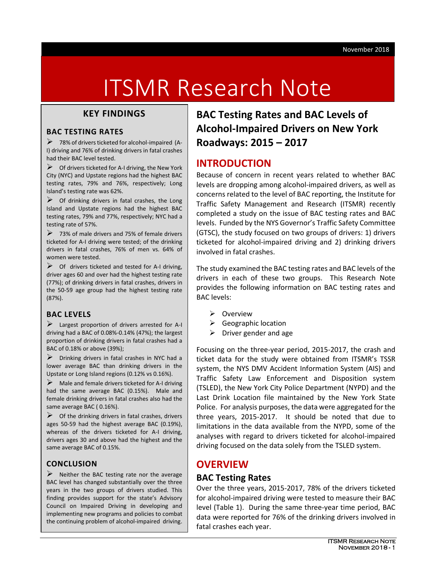# ITSMR Research Note

## **KEY FINDINGS**

#### **BAC TESTING RATES**

 $\triangleright$  78% of drivers ticketed for alcohol-impaired (A-I) driving and 76% of drinking drivers in fatal crashes had their BAC level tested.

 $\triangleright$  Of drivers ticketed for A-I driving, the New York City (NYC) and Upstate regions had the highest BAC testing rates, 79% and 76%, respectively; Long Island's testing rate was 62%.

 $\triangleright$  Of drinking drivers in fatal crashes, the Long Island and Upstate regions had the highest BAC testing rates, 79% and 77%, respectively; NYC had a testing rate of 57%.

 $\triangleright$  73% of male drivers and 75% of female drivers ticketed for A-I driving were tested; of the drinking drivers in fatal crashes, 76% of men vs. 64% of women were tested.

 $\triangleright$  Of drivers ticketed and tested for A-I driving, driver ages 60 and over had the highest testing rate (77%); of drinking drivers in fatal crashes, drivers in the 50-59 age group had the highest testing rate (87%).

## **BAC LEVELS**

 $\triangleright$  Largest proportion of drivers arrested for A-I driving had a BAC of 0.08%-0.14% (47%); the largest proportion of drinking drivers in fatal crashes had a BAC of 0.18% or above (39%);

 Drinking drivers in fatal crashes in NYC had a lower average BAC than drinking drivers in the Upstate or Long Island regions (0.12% vs 0.16%).

 $\triangleright$  Male and female drivers ticketed for A-I driving had the same average BAC (0.15%). Male and female drinking drivers in fatal crashes also had the same average BAC ( 0.16%).

 $\triangleright$  Of the drinking drivers in fatal crashes, drivers ages 50-59 had the highest average BAC (0.19%), whereas of the drivers ticketed for A-I driving, drivers ages 30 and above had the highest and the same average BAC of 0.15%.

## **CONCLUSION**

 $\triangleright$  Neither the BAC testing rate nor the average BAC level has changed substantially over the three years in the two groups of drivers studied. This finding provides support for the state's Advisory Council on Impaired Driving in developing and implementing new programs and policies to combat the continuing problem of alcohol-impaired driving.

**BAC Testing Rates and BAC Levels of Alcohol-Impaired Drivers on New York Roadways: 2015 – 2017**

# **INTRODUCTION**

Because of concern in recent years related to whether BAC levels are dropping among alcohol-impaired drivers, as well as concerns related to the level of BAC reporting, the Institute for Traffic Safety Management and Research (ITSMR) recently completed a study on the issue of BAC testing rates and BAC levels. Funded by the NYS Governor's Traffic Safety Committee (GTSC), the study focused on two groups of drivers: 1) drivers ticketed for alcohol-impaired driving and 2) drinking drivers involved in fatal crashes.

The study examined the BAC testing rates and BAC levels of the drivers in each of these two groups. This Research Note provides the following information on BAC testing rates and BAC levels:

- Overview
- $\triangleright$  Geographic location
- $\triangleright$  Driver gender and age

Focusing on the three-year period, 2015-2017, the crash and ticket data for the study were obtained from ITSMR's TSSR system, the NYS DMV Accident Information System (AIS) and Traffic Safety Law Enforcement and Disposition system (TSLED), the New York City Police Department (NYPD) and the Last Drink Location file maintained by the New York State Police. For analysis purposes, the data were aggregated for the three years, 2015-2017. It should be noted that due to limitations in the data available from the NYPD, some of the analyses with regard to drivers ticketed for alcohol-impaired driving focused on the data solely from the TSLED system.

# **OVERVIEW**

## **BAC Testing Rates**

Over the three years, 2015-2017, 78% of the drivers ticketed for alcohol-impaired driving were tested to measure their BAC level (Table 1). During the same three-year time period, BAC data were reported for 76% of the drinking drivers involved in fatal crashes each year.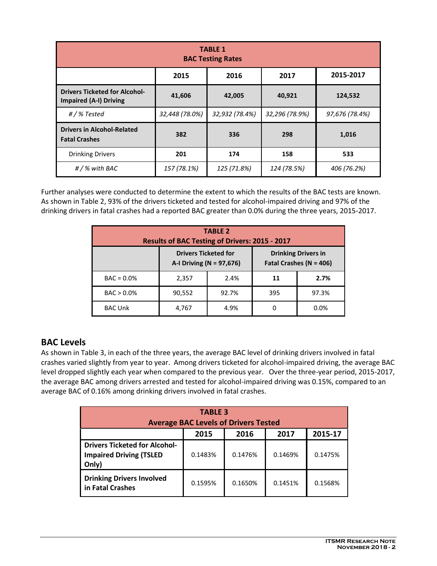| <b>TABLE 1</b><br><b>BAC Testing Rates</b>                            |                |                |                |                |  |  |  |
|-----------------------------------------------------------------------|----------------|----------------|----------------|----------------|--|--|--|
| 2015-2017<br>2016<br>2015<br>2017                                     |                |                |                |                |  |  |  |
| <b>Drivers Ticketed for Alcohol-</b><br><b>Impaired (A-I) Driving</b> | 41,606         | 42,005         | 40,921         | 124,532        |  |  |  |
| #/%Tested                                                             | 32,448 (78.0%) | 32,932 (78.4%) | 32,296 (78.9%) | 97,676 (78.4%) |  |  |  |
| <b>Drivers in Alcohol-Related</b><br><b>Fatal Crashes</b>             | 382            | 336            | 298            | 1,016          |  |  |  |
| <b>Drinking Drivers</b>                                               | 201            | 174            | 158            | 533            |  |  |  |
| $#$ / % with BAC                                                      | 157 (78.1%)    | 125 (71.8%)    | 124 (78.5%)    | 406 (76.2%)    |  |  |  |

Further analyses were conducted to determine the extent to which the results of the BAC tests are known. As shown in Table 2, 93% of the drivers ticketed and tested for alcohol-impaired driving and 97% of the drinking drivers in fatal crashes had a reported BAC greater than 0.0% during the three years, 2015-2017.

| <b>TABLE 2</b><br>Results of BAC Testing of Drivers: 2015 - 2017 |                                                         |       |                                                           |       |  |  |
|------------------------------------------------------------------|---------------------------------------------------------|-------|-----------------------------------------------------------|-------|--|--|
|                                                                  | <b>Drivers Ticketed for</b><br>A-I Driving (N = 97,676) |       | <b>Drinking Drivers in</b><br>Fatal Crashes ( $N = 406$ ) |       |  |  |
| $BAC = 0.0%$                                                     | 2,357                                                   | 2.4%  | 11                                                        | 2.7%  |  |  |
| $BAC > 0.0\%$                                                    | 90,552                                                  | 92.7% | 395                                                       | 97.3% |  |  |
| <b>BAC Unk</b>                                                   | 4,767                                                   | 4.9%  | 0                                                         | 0.0%  |  |  |

## **BAC Levels**

As shown in Table 3, in each of the three years, the average BAC level of drinking drivers involved in fatal crashes varied slightly from year to year. Among drivers ticketed for alcohol-impaired driving, the average BAC level dropped slightly each year when compared to the previous year. Over the three-year period, 2015-2017, the average BAC among drivers arrested and tested for alcohol-impaired driving was 0.15%, compared to an average BAC of 0.16% among drinking drivers involved in fatal crashes.

| <b>TABLE 3</b><br><b>Average BAC Levels of Drivers Tested</b>                   |         |         |         |         |  |  |
|---------------------------------------------------------------------------------|---------|---------|---------|---------|--|--|
| 2015-17<br>2016<br>2017<br>2015                                                 |         |         |         |         |  |  |
| <b>Drivers Ticketed for Alcohol-</b><br><b>Impaired Driving (TSLED</b><br>Only) | 0.1483% | 0.1476% | 0.1469% | 0.1475% |  |  |
| <b>Drinking Drivers Involved</b><br>in Fatal Crashes                            | 0.1595% | 0.1650% | 0.1451% | 0.1568% |  |  |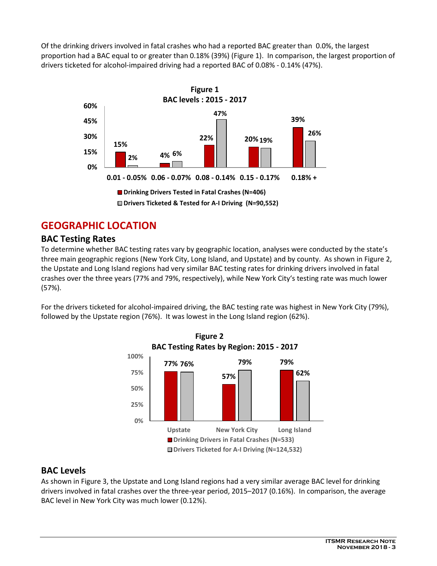Of the drinking drivers involved in fatal crashes who had a reported BAC greater than 0.0%, the largest proportion had a BAC equal to or greater than 0.18% (39%) (Figure 1). In comparison, the largest proportion of drivers ticketed for alcohol-impaired driving had a reported BAC of 0.08% - 0.14% (47%).



# **GEOGRAPHIC LOCATION**

# **BAC Testing Rates**

To determine whether BAC testing rates vary by geographic location, analyses were conducted by the state's three main geographic regions (New York City, Long Island, and Upstate) and by county. As shown in Figure 2, the Upstate and Long Island regions had very similar BAC testing rates for drinking drivers involved in fatal crashes over the three years (77% and 79%, respectively), while New York City's testing rate was much lower (57%).

For the drivers ticketed for alcohol-impaired driving, the BAC testing rate was highest in New York City (79%), followed by the Upstate region (76%). It was lowest in the Long Island region (62%).



## **BAC Levels**

As shown in Figure 3, the Upstate and Long Island regions had a very similar average BAC level for drinking drivers involved in fatal crashes over the three-year period, 2015–2017 (0.16%). In comparison, the average BAC level in New York City was much lower (0.12%).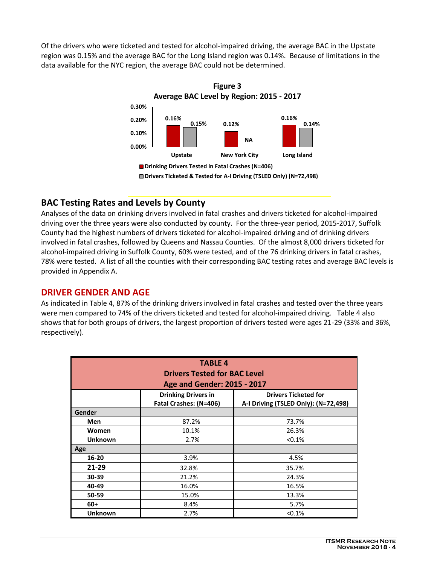Of the drivers who were ticketed and tested for alcohol-impaired driving, the average BAC in the Upstate region was 0.15% and the average BAC for the Long Island region was 0.14%. Because of limitations in the data available for the NYC region, the average BAC could not be determined.



# **BAC Testing Rates and Levels by County**

Analyses of the data on drinking drivers involved in fatal crashes and drivers ticketed for alcohol-impaired driving over the three years were also conducted by county. For the three-year period, 2015-2017, Suffolk County had the highest numbers of drivers ticketed for alcohol-impaired driving and of drinking drivers involved in fatal crashes, followed by Queens and Nassau Counties. Of the almost 8,000 drivers ticketed for alcohol-impaired driving in Suffolk County, 60% were tested, and of the 76 drinking drivers in fatal crashes, 78% were tested. A list of all the counties with their corresponding BAC testing rates and average BAC levels is provided in Appendix A.

## **DRIVER GENDER AND AGE**

As indicated in Table 4, 87% of the drinking drivers involved in fatal crashes and tested over the three years were men compared to 74% of the drivers ticketed and tested for alcohol-impaired driving. Table 4 also shows that for both groups of drivers, the largest proportion of drivers tested were ages 21-29 (33% and 36%, respectively).

| <b>TABLE 4</b><br><b>Drivers Tested for BAC Level</b><br>Age and Gender: 2015 - 2017 |                                                           |                                      |  |  |  |
|--------------------------------------------------------------------------------------|-----------------------------------------------------------|--------------------------------------|--|--|--|
|                                                                                      | <b>Drinking Drivers in</b><br><b>Drivers Ticketed for</b> |                                      |  |  |  |
|                                                                                      | Fatal Crashes: (N=406)                                    | A-I Driving (TSLED Only): (N=72,498) |  |  |  |
| Gender                                                                               |                                                           |                                      |  |  |  |
| Men                                                                                  | 87.2%                                                     | 73.7%                                |  |  |  |
| Women                                                                                | 10.1%                                                     | 26.3%                                |  |  |  |
| <b>Unknown</b>                                                                       | 2.7%                                                      | < 0.1%                               |  |  |  |
| Age                                                                                  |                                                           |                                      |  |  |  |
| 16-20                                                                                | 3.9%                                                      | 4.5%                                 |  |  |  |
| 21-29                                                                                | 32.8%                                                     | 35.7%                                |  |  |  |
| 30-39                                                                                | 21.2%                                                     | 24.3%                                |  |  |  |
| 40-49                                                                                | 16.0%                                                     | 16.5%                                |  |  |  |
| 50-59                                                                                | 15.0%                                                     | 13.3%                                |  |  |  |
| $60+$                                                                                | 8.4%                                                      | 5.7%                                 |  |  |  |
| <b>Unknown</b>                                                                       | 2.7%                                                      | < 0.1%                               |  |  |  |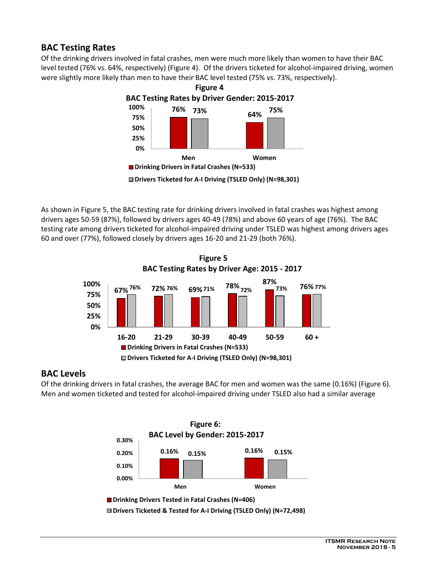## **BAC Testing Rates**

Of the drinking drivers involved in fatal crashes, men were much more likely than women to have their BAC level tested (76% vs. 64%, respectively) (Figure 4). Of the drivers ticketed for alcohol-impaired driving, women were slightly more likely than men to have their BAC level tested (75% vs. 73%, respectively).



As shown in Figure 5, the BAC testing rate for drinking drivers involved in fatal crashes was highest among drivers ages 50-59 (87%), followed by drivers ages 40-49 (78%) and above 60 years of age (76%). The BAC testing rate among drivers ticketed for alcohol-impaired driving under TSLED was highest among drivers ages 60 and over (77%), followed closely by drivers ages 16-20 and 21-29 (both 76%).



 **Figure 5 BAC Testing Rates by Driver Age: 2015 - 2017**

## **BAC Levels**

Of the drinking drivers in fatal crashes, the average BAC for men and women was the same (0.16%) (Figure 6). Men and women ticketed and tested for alcohol-impaired driving under TSLED also had a similar average

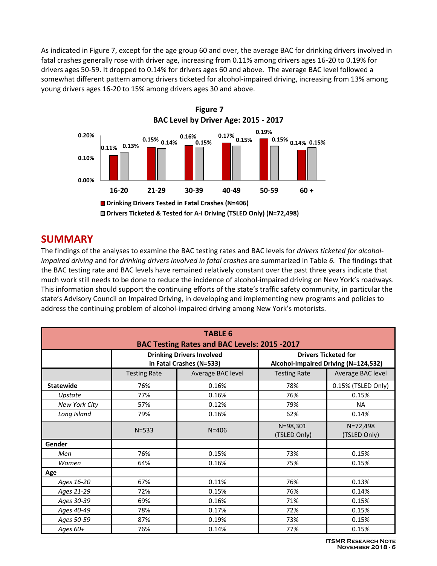As indicated in Figure 7, except for the age group 60 and over, the average BAC for drinking drivers involved in fatal crashes generally rose with driver age, increasing from 0.11% among drivers ages 16-20 to 0.19% for drivers ages 50-59. It dropped to 0.14% for drivers ages 60 and above. The average BAC level followed a somewhat different pattern among drivers ticketed for alcohol-impaired driving, increasing from 13% among young drivers ages 16-20 to 15% among drivers ages 30 and above.



# **SUMMARY**

The findings of the analyses to examine the BAC testing rates and BAC levels for *drivers ticketed for alcoholimpaired driving* and for *drinking drivers involved in fatal crashes* are summarized in Table *6.* The findings that the BAC testing rate and BAC levels have remained relatively constant over the past three years indicate that much work still needs to be done to reduce the incidence of alcohol-impaired driving on New York's roadways. This information should support the continuing efforts of the state's traffic safety community, in particular the state's Advisory Council on Impaired Driving, in developing and implementing new programs and policies to address the continuing problem of alcohol-impaired driving among New York's motorists.

| <b>TABLE 6</b><br>BAC Testing Rates and BAC Levels: 2015 -2017 |                                                              |                   |                                                                     |                          |  |  |  |
|----------------------------------------------------------------|--------------------------------------------------------------|-------------------|---------------------------------------------------------------------|--------------------------|--|--|--|
|                                                                | <b>Drinking Drivers Involved</b><br>in Fatal Crashes (N=533) |                   | <b>Drivers Ticketed for</b><br>Alcohol-Impaired Driving (N=124,532) |                          |  |  |  |
|                                                                | <b>Testing Rate</b>                                          | Average BAC level | <b>Testing Rate</b>                                                 | Average BAC level        |  |  |  |
| <b>Statewide</b>                                               | 76%                                                          | 0.16%             | 78%                                                                 | 0.15% (TSLED Only)       |  |  |  |
| Upstate                                                        | 77%                                                          | 0.16%             | 76%                                                                 | 0.15%                    |  |  |  |
| New York City                                                  | 57%                                                          | 0.12%             | 79%                                                                 | <b>NA</b>                |  |  |  |
| Long Island                                                    | 79%                                                          | 0.16%             | 62%                                                                 | 0.14%                    |  |  |  |
|                                                                | $N = 533$                                                    | $N = 406$         | $N = 98,301$<br>(TSLED Only)                                        | N=72,498<br>(TSLED Only) |  |  |  |
| Gender                                                         |                                                              |                   |                                                                     |                          |  |  |  |
| Men                                                            | 76%                                                          | 0.15%             | 73%                                                                 | 0.15%                    |  |  |  |
| Women                                                          | 64%                                                          | 0.16%             | 75%                                                                 | 0.15%                    |  |  |  |
| Age                                                            |                                                              |                   |                                                                     |                          |  |  |  |
| Ages 16-20                                                     | 67%                                                          | 0.11%             | 76%                                                                 | 0.13%                    |  |  |  |
| Ages 21-29                                                     | 72%                                                          | 0.15%             | 76%                                                                 | 0.14%                    |  |  |  |
| Ages 30-39                                                     | 69%                                                          | 0.16%             | 71%                                                                 | 0.15%                    |  |  |  |
| Ages 40-49                                                     | 78%                                                          | 0.17%             | 72%                                                                 | 0.15%                    |  |  |  |
| Ages 50-59                                                     | 87%                                                          | 0.19%             | 73%                                                                 | 0.15%                    |  |  |  |
| Ages 60+                                                       | 76%                                                          | 0.14%             | 77%                                                                 | 0.15%                    |  |  |  |

**ITSMR Research Note November 2018 - 6**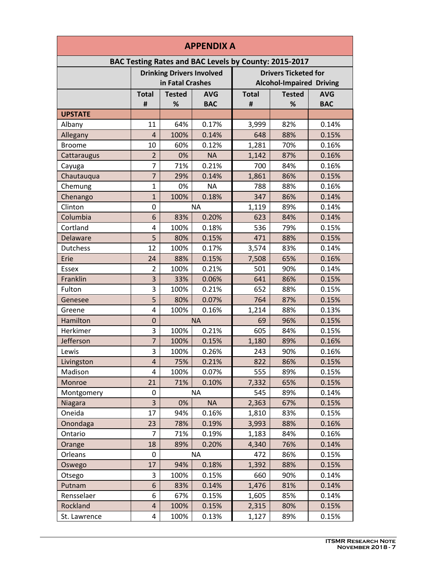| <b>APPENDIX A</b>                                     |                                  |               |            |                                 |               |            |
|-------------------------------------------------------|----------------------------------|---------------|------------|---------------------------------|---------------|------------|
| BAC Testing Rates and BAC Levels by County: 2015-2017 |                                  |               |            |                                 |               |            |
|                                                       | <b>Drinking Drivers Involved</b> |               |            | <b>Drivers Ticketed for</b>     |               |            |
|                                                       | in Fatal Crashes                 |               |            | <b>Alcohol-Impaired Driving</b> |               |            |
|                                                       | <b>Total</b>                     | <b>Tested</b> | <b>AVG</b> | <b>Total</b>                    | <b>Tested</b> | <b>AVG</b> |
|                                                       | #                                | %             | <b>BAC</b> | #                               | %             | <b>BAC</b> |
| <b>UPSTATE</b>                                        |                                  |               |            |                                 |               |            |
| Albany                                                | 11                               | 64%           | 0.17%      | 3,999                           | 82%           | 0.14%      |
| Allegany                                              | 4                                | 100%          | 0.14%      | 648                             | 88%           | 0.15%      |
| <b>Broome</b>                                         | 10                               | 60%           | 0.12%      | 1,281                           | 70%           | 0.16%      |
| Cattaraugus                                           | $\overline{2}$                   | 0%            | <b>NA</b>  | 1,142                           | 87%           | 0.16%      |
| Cayuga                                                | $\overline{7}$                   | 71%           | 0.21%      | 700                             | 84%           | 0.16%      |
| Chautauqua                                            | $\overline{7}$                   | 29%           | 0.14%      | 1,861                           | 86%           | 0.15%      |
| Chemung                                               | $\mathbf{1}$                     | 0%            | <b>NA</b>  | 788                             | 88%           | 0.16%      |
| Chenango                                              | $\mathbf{1}$                     | 100%          | 0.18%      | 347                             | 86%           | 0.14%      |
| Clinton                                               | 0                                |               | <b>NA</b>  | 1,119                           | 89%           | 0.14%      |
| Columbia                                              | 6                                | 83%           | 0.20%      | 623                             | 84%           | 0.14%      |
| Cortland                                              | 4                                | 100%          | 0.18%      | 536                             | 79%           | 0.15%      |
| Delaware                                              | 5                                | 80%           | 0.15%      | 471                             | 88%           | 0.15%      |
| Dutchess                                              | 12                               | 100%          | 0.17%      | 3,574                           | 83%           | 0.14%      |
| Erie                                                  | 24                               | 88%           | 0.15%      | 7,508                           | 65%           | 0.16%      |
| <b>Essex</b>                                          | $\overline{2}$                   | 100%          | 0.21%      | 501                             | 90%           | 0.14%      |
| Franklin                                              | 3                                | 33%           | 0.06%      | 641                             | 86%           | 0.15%      |
| Fulton                                                | 3                                | 100%          | 0.21%      | 652                             | 88%           | 0.15%      |
| Genesee                                               | 5                                | 80%           | 0.07%      | 764                             | 87%           | 0.15%      |
| Greene                                                | 4                                | 100%          | 0.16%      | 1,214                           | 88%           | 0.13%      |
| Hamilton                                              | $\mathbf 0$                      |               | <b>NA</b>  | 69                              | 96%           | 0.15%      |
| Herkimer                                              | 3                                | 100%          | 0.21%      | 605                             | 84%           | 0.15%      |
| Jefferson                                             | $\overline{7}$                   | 100%          | 0.15%      | 1,180                           | 89%           | 0.16%      |
| Lewis                                                 | 3                                | 100%          | 0.26%      | 243                             | 90%           | 0.16%      |
| Livingston                                            | 4                                | 75%           | 0.21%      | 822                             | 86%           | 0.15%      |
| Madison                                               | 4                                | 100%          | 0.07%      | 555                             | 89%           | 0.15%      |
| Monroe                                                | 21                               | 71%           | 0.10%      | 7,332                           | 65%           | 0.15%      |
| Montgomery                                            | 0                                |               | <b>NA</b>  | 545                             | 89%           | 0.14%      |
| Niagara                                               | 3                                | 0%            | <b>NA</b>  | 2,363                           | 67%           | 0.15%      |
| Oneida                                                | 17                               | 94%           | 0.16%      | 1,810                           | 83%           | 0.15%      |
| Onondaga                                              | 23                               | 78%           | 0.19%      | 3,993                           | 88%           | 0.16%      |
| Ontario                                               | 7                                | 71%           | 0.19%      | 1,183                           | 84%           | 0.16%      |
| Orange                                                | 18                               | 89%           | 0.20%      | 4,340                           | 76%           | 0.14%      |
| Orleans                                               | 0                                |               | <b>NA</b>  | 472                             | 86%           | 0.15%      |
| Oswego                                                | 17                               | 94%           | 0.18%      | 1,392                           | 88%           | 0.15%      |
| Otsego                                                | 3                                | 100%          | 0.15%      | 660                             | 90%           | 0.14%      |
| Putnam                                                | 6                                | 83%           | 0.14%      | 1,476                           | 81%           | 0.14%      |
| Rensselaer                                            | 6                                | 67%           | 0.15%      | 1,605                           | 85%           | 0.14%      |
| Rockland                                              | 4                                | 100%          | 0.15%      | 2,315                           | 80%           | 0.15%      |
| St. Lawrence                                          | 4                                | 100%          | 0.13%      | 1,127                           | 89%           | 0.15%      |